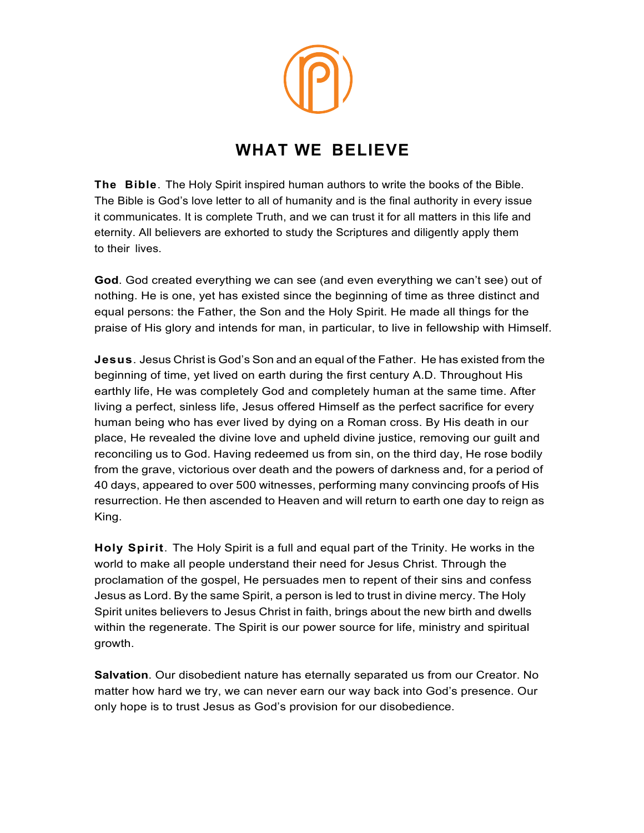## **WHAT WE BELIEVE**

**The Bible**. The Holy Spirit inspired human authors to write the books of the Bible. The Bible is God's love letter to all of humanity and is the final authority in every issue it communicates. It is complete Truth, and we can trust it for all matters in this life and eternity. All believers are exhorted to study the Scriptures and diligently apply them to their lives.

**God**. God created everything we can see (and even everything we can't see) out of nothing. He is one, yet has existed since the beginning of time as three distinct and equal persons: the Father, the Son and the Holy Spirit. He made all things for the praise of His glory and intends for man, in particular, to live in fellowship with Himself.

**Jesus**. Jesus Christ is God's Son and an equal of the Father. He has existed from the beginning of time, yet lived on earth during the first century A.D. Throughout His earthly life, He was completely God and completely human at the same time. After living a perfect, sinless life, Jesus offered Himself as the perfect sacrifice for every human being who has ever lived by dying on a Roman cross. By His death in our place, He revealed the divine love and upheld divine justice, removing our guilt and reconciling us to God. Having redeemed us from sin, on the third day, He rose bodily from the grave, victorious over death and the powers of darkness and, for a period of 40 days, appeared to over 500 witnesses, performing many convincing proofs of His resurrection. He then ascended to Heaven and will return to earth one day to reign as King.

**Holy Spirit**. The Holy Spirit is a full and equal part of the Trinity. He works in the world to make all people understand their need for Jesus Christ. Through the proclamation of the gospel, He persuades men to repent of their sins and confess Jesus as Lord. By the same Spirit, a person is led to trust in divine mercy. The Holy Spirit unites believers to Jesus Christ in faith, brings about the new birth and dwells within the regenerate. The Spirit is our power source for life, ministry and spiritual growth.

**Salvation**. Our disobedient nature has eternally separated us from our Creator. No matter how hard we try, we can never earn our way back into God's presence. Our only hope is to trust Jesus as God's provision for our disobedience.